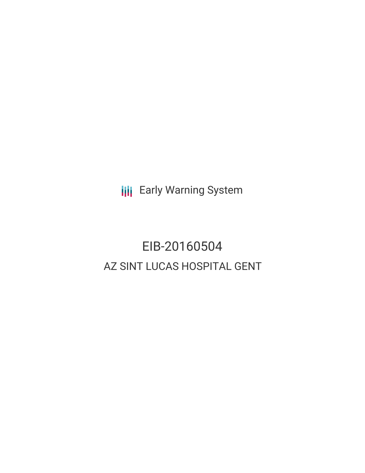**III** Early Warning System

# EIB-20160504 AZ SINT LUCAS HOSPITAL GENT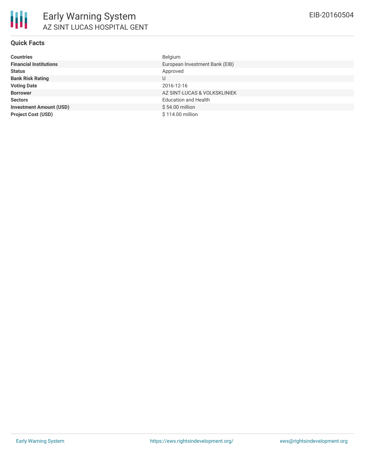## **Quick Facts**

| Belgium                        |
|--------------------------------|
| European Investment Bank (EIB) |
| Approved                       |
| U                              |
| 2016-12-16                     |
| AZ SINT-LUCAS & VOLKSKLINIEK   |
| <b>Education and Health</b>    |
| \$54.00 million                |
| \$114.00 million               |
|                                |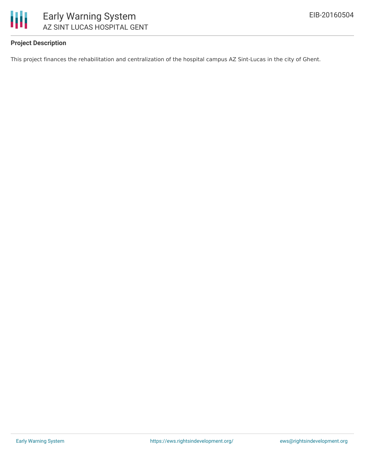

## **Project Description**

This project finances the rehabilitation and centralization of the hospital campus AZ Sint-Lucas in the city of Ghent.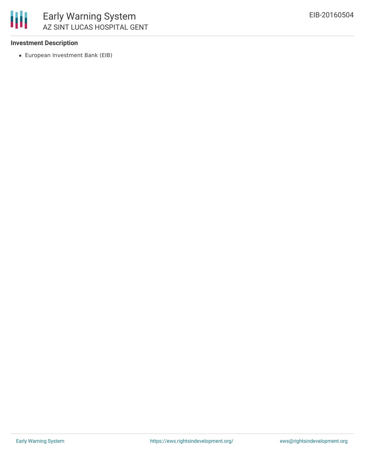### **Investment Description**

European Investment Bank (EIB)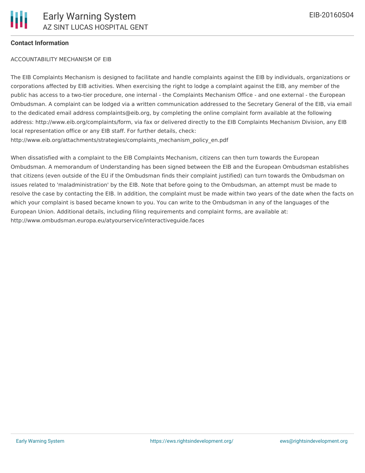### **Contact Information**

#### ACCOUNTABILITY MECHANISM OF EIB

The EIB Complaints Mechanism is designed to facilitate and handle complaints against the EIB by individuals, organizations or corporations affected by EIB activities. When exercising the right to lodge a complaint against the EIB, any member of the public has access to a two-tier procedure, one internal - the Complaints Mechanism Office - and one external - the European Ombudsman. A complaint can be lodged via a written communication addressed to the Secretary General of the EIB, via email to the dedicated email address complaints@eib.org, by completing the online complaint form available at the following address: http://www.eib.org/complaints/form, via fax or delivered directly to the EIB Complaints Mechanism Division, any EIB local representation office or any EIB staff. For further details, check: http://www.eib.org/attachments/strategies/complaints\_mechanism\_policy\_en.pdf

When dissatisfied with a complaint to the EIB Complaints Mechanism, citizens can then turn towards the European Ombudsman. A memorandum of Understanding has been signed between the EIB and the European Ombudsman establishes that citizens (even outside of the EU if the Ombudsman finds their complaint justified) can turn towards the Ombudsman on issues related to 'maladministration' by the EIB. Note that before going to the Ombudsman, an attempt must be made to resolve the case by contacting the EIB. In addition, the complaint must be made within two years of the date when the facts on which your complaint is based became known to you. You can write to the Ombudsman in any of the languages of the European Union. Additional details, including filing requirements and complaint forms, are available at: http://www.ombudsman.europa.eu/atyourservice/interactiveguide.faces